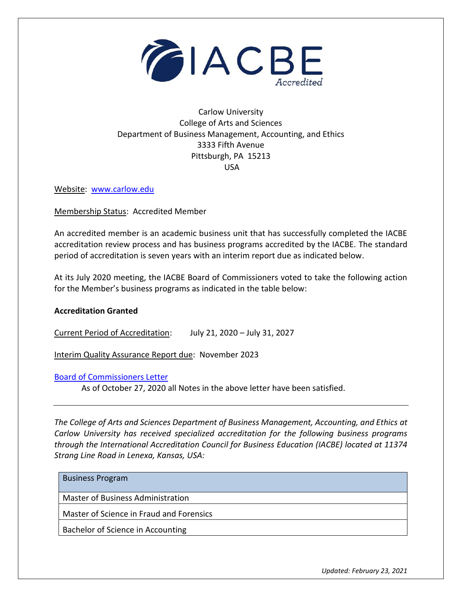

## Carlow University College of Arts and Sciences Department of Business Management, Accounting, and Ethics 3333 Fifth Avenue Pittsburgh, PA 15213 USA

Website: [www.carlow.edu](http://www.carlow.edu/)

Membership Status: Accredited Member

An accredited member is an academic business unit that has successfully completed the IACBE accreditation review process and has business programs accredited by the IACBE. The standard period of accreditation is seven years with an interim report due as indicated below.

At its July 2020 meeting, the IACBE Board of Commissioners voted to take the following action for the Member's business programs as indicated in the table below:

## **Accreditation Granted**

Current Period of Accreditation: July 21, 2020 – July 31, 2027

Interim Quality Assurance Report due: November 2023

[Board of Commissioners Letter](https://iacbe.org/memberpdf/BOCCarlowLetterJuly2020FINAL.pdf)

As of October 27, 2020 all Notes in the above letter have been satisfied.

*The College of Arts and Sciences Department of Business Management, Accounting, and Ethics at Carlow University has received specialized accreditation for the following business programs through the International Accreditation Council for Business Education (IACBE) located at 11374 Strang Line Road in Lenexa, Kansas, USA:*

| <b>Business Program</b>                  |
|------------------------------------------|
| Master of Business Administration        |
| Master of Science in Fraud and Forensics |
| Bachelor of Science in Accounting        |

*Updated: February 23, 2021*